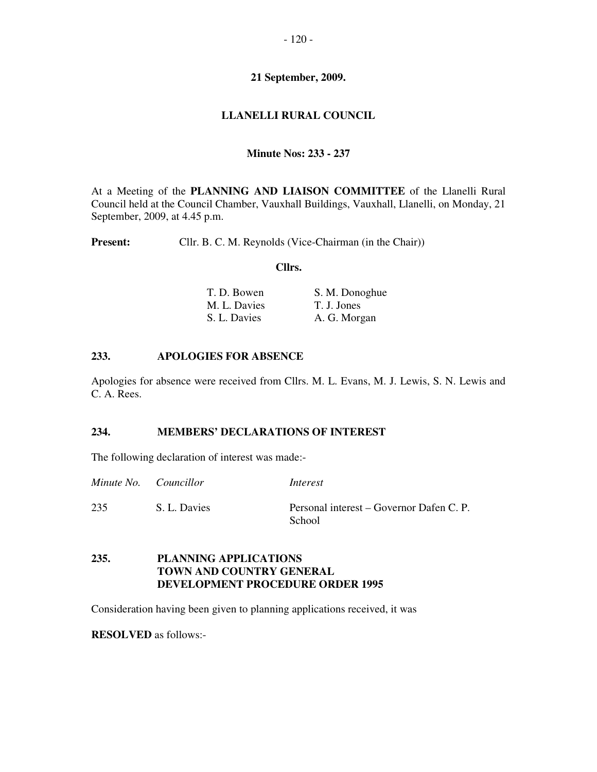# **LLANELLI RURAL COUNCIL**

### **Minute Nos: 233 - 237**

At a Meeting of the **PLANNING AND LIAISON COMMITTEE** of the Llanelli Rural Council held at the Council Chamber, Vauxhall Buildings, Vauxhall, Llanelli, on Monday, 21 September, 2009, at 4.45 p.m.

**Present:** Cllr. B. C. M. Reynolds (Vice-Chairman (in the Chair))

#### **Cllrs.**

| T. D. Bowen  | S. M. Donoghue |
|--------------|----------------|
| M. L. Davies | T. J. Jones    |
| S. L. Davies | A. G. Morgan   |

#### **233. APOLOGIES FOR ABSENCE**

Apologies for absence were received from Cllrs. M. L. Evans, M. J. Lewis, S. N. Lewis and C. A. Rees.

## **234. MEMBERS' DECLARATIONS OF INTEREST**

The following declaration of interest was made:-

|  | Minute No. | Councillor | Interest |
|--|------------|------------|----------|
|--|------------|------------|----------|

235 S. L. Davies Personal interest – Governor Dafen C. P. School

## **235. PLANNING APPLICATIONS TOWN AND COUNTRY GENERAL DEVELOPMENT PROCEDURE ORDER 1995**

Consideration having been given to planning applications received, it was

**RESOLVED** as follows:-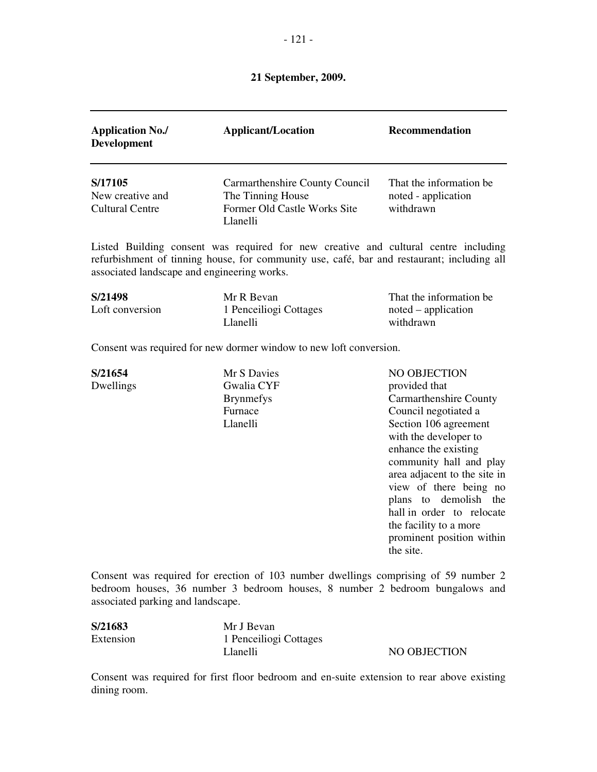| <b>Application No./</b><br><b>Development</b>         | <b>Applicant/Location</b>                                                                                                                                                         | <b>Recommendation</b>                                                                                                                                                                                                                                                                                                                                                                  |
|-------------------------------------------------------|-----------------------------------------------------------------------------------------------------------------------------------------------------------------------------------|----------------------------------------------------------------------------------------------------------------------------------------------------------------------------------------------------------------------------------------------------------------------------------------------------------------------------------------------------------------------------------------|
| S/17105<br>New creative and<br><b>Cultural Centre</b> | Carmarthenshire County Council<br>The Tinning House<br>Former Old Castle Works Site<br>Llanelli                                                                                   | That the information be.<br>noted - application<br>withdrawn                                                                                                                                                                                                                                                                                                                           |
| associated landscape and engineering works.           | Listed Building consent was required for new creative and cultural centre including<br>refurbishment of tinning house, for community use, café, bar and restaurant; including all |                                                                                                                                                                                                                                                                                                                                                                                        |
| S/21498<br>Loft conversion                            | Mr R Bevan<br>1 Penceiliogi Cottages<br>Llanelli                                                                                                                                  | That the information be.<br>noted – application<br>withdrawn                                                                                                                                                                                                                                                                                                                           |
|                                                       | Consent was required for new dormer window to new loft conversion.                                                                                                                |                                                                                                                                                                                                                                                                                                                                                                                        |
| S/21654<br>Dwellings                                  | Mr S Davies<br>Gwalia CYF<br><b>Brynmefys</b><br>Furnace<br>Llanelli                                                                                                              | <b>NO OBJECTION</b><br>provided that<br><b>Carmarthenshire County</b><br>Council negotiated a<br>Section 106 agreement<br>with the developer to<br>enhance the existing<br>community hall and play<br>area adjacent to the site in<br>view of there being no<br>plans to demolish the<br>hall in order to relocate<br>the facility to a more<br>prominent position within<br>the site. |
| associated parking and landscape.                     | Consent was required for erection of 103 number dwellings comprising of 59 number 2<br>bedroom houses, 36 number 3 bedroom houses, 8 number 2 bedroom bungalows and               |                                                                                                                                                                                                                                                                                                                                                                                        |
| S/21683<br>Extension                                  | Mr J Bevan<br>1 Penceiliogi Cottages<br>Llanelli                                                                                                                                  | NO OBJECTION                                                                                                                                                                                                                                                                                                                                                                           |

Consent was required for first floor bedroom and en-suite extension to rear above existing dining room.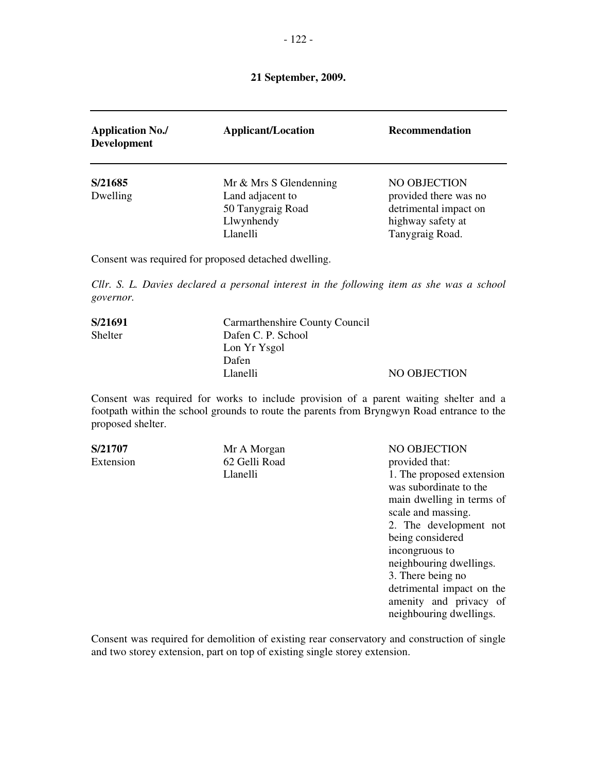| <b>Application No./</b><br><b>Development</b> | <b>Applicant/Location</b> | <b>Recommendation</b> |
|-----------------------------------------------|---------------------------|-----------------------|
| S/21685                                       | Mr & Mrs S Glendenning    | NO OBJECTION          |
| Dwelling                                      | Land adjacent to          | provided there was no |
|                                               | 50 Tanygraig Road         | detrimental impact on |
|                                               | Llwynhendy                | highway safety at     |
|                                               | Llanelli                  | Tanygraig Road.       |

Consent was required for proposed detached dwelling.

*Cllr. S. L. Davies declared a personal interest in the following item as she was a school governor.* 

| S/21691        | Carmarthenshire County Council |              |
|----------------|--------------------------------|--------------|
| <b>Shelter</b> | Dafen C. P. School             |              |
|                | Lon Yr Ysgol                   |              |
|                | Dafen                          |              |
|                | Llanelli                       | NO OBJECTION |
|                |                                |              |

Consent was required for works to include provision of a parent waiting shelter and a footpath within the school grounds to route the parents from Bryngwyn Road entrance to the proposed shelter.

| S/21707   | Mr A Morgan   | NO OBJECTION              |
|-----------|---------------|---------------------------|
| Extension | 62 Gelli Road | provided that:            |
|           | Llanelli      | 1. The proposed extension |
|           |               | was subordinate to the    |
|           |               | main dwelling in terms of |
|           |               | scale and massing.        |

extension 2. The development not being considered incongruous to neighbouring dwellings. 3. There being no detrimental impact on the amenity and privacy of neighbouring dwellings.

Consent was required for demolition of existing rear conservatory and construction of single and two storey extension, part on top of existing single storey extension.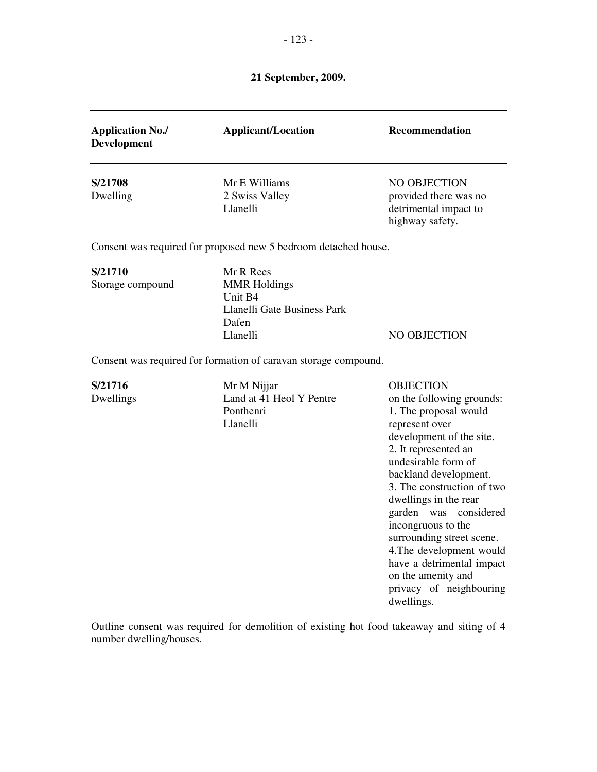| <b>Application No./</b><br>Development | <b>Applicant/Location</b>                                                                       | Recommendation                                                                                                                                                                                                                                                                                                                                                                           |
|----------------------------------------|-------------------------------------------------------------------------------------------------|------------------------------------------------------------------------------------------------------------------------------------------------------------------------------------------------------------------------------------------------------------------------------------------------------------------------------------------------------------------------------------------|
| S/21708<br>Dwelling                    | Mr E Williams<br>2 Swiss Valley<br>Llanelli                                                     | NO OBJECTION<br>provided there was no<br>detrimental impact to<br>highway safety.                                                                                                                                                                                                                                                                                                        |
|                                        | Consent was required for proposed new 5 bedroom detached house.                                 |                                                                                                                                                                                                                                                                                                                                                                                          |
| S/21710<br>Storage compound            | Mr R Rees<br><b>MMR Holdings</b><br>Unit B4<br>Llanelli Gate Business Park<br>Dafen<br>Llanelli | NO OBJECTION                                                                                                                                                                                                                                                                                                                                                                             |
|                                        | Consent was required for formation of caravan storage compound.                                 |                                                                                                                                                                                                                                                                                                                                                                                          |
| S/21716<br>Dwellings                   | Mr M Nijjar<br>Land at 41 Heol Y Pentre<br>Ponthenri<br>Llanelli                                | <b>OBJECTION</b><br>on the following grounds:<br>1. The proposal would<br>represent over<br>development of the site.<br>2. It represented an<br>undesirable form of<br>backland development.<br>3. The construction of two<br>dwellings in the rear<br>garden was considered<br>incongruous to the<br>surrounding street scene.<br>4. The development would<br>have a detrimental impact |

Outline consent was required for demolition of existing hot food takeaway and siting of 4 number dwelling/houses.

on the amenity and

dwellings.

privacy of neighbouring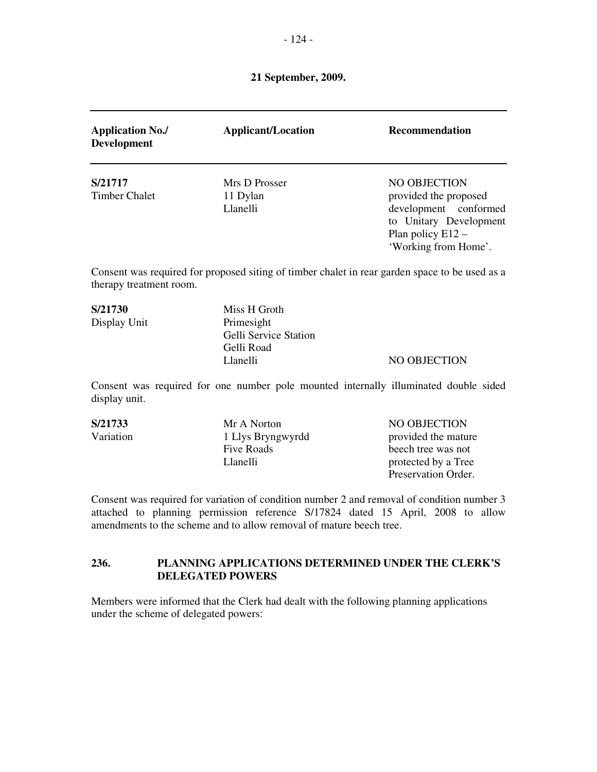| <b>Application No./</b><br><b>Development</b> | <b>Applicant/Location</b>             | <b>Recommendation</b>                                                                                                                   |
|-----------------------------------------------|---------------------------------------|-----------------------------------------------------------------------------------------------------------------------------------------|
| S/21717<br><b>Timber Chalet</b>               | Mrs D Prosser<br>11 Dylan<br>Llanelli | NO OBJECTION<br>provided the proposed<br>development conformed<br>to Unitary Development<br>Plan policy $E12 -$<br>'Working from Home'. |
| thereny treatment room                        |                                       | Consent was required for proposed siting of timber chalet in rear garden space to be used as a                                          |

therapy treatment room.

| Miss H Groth                 |              |
|------------------------------|--------------|
| Primesight                   |              |
| <b>Gelli Service Station</b> |              |
| Gelli Road                   |              |
| Llanelli                     | NO OBJECTION |
|                              |              |

Consent was required for one number pole mounted internally illuminated double sided display unit.

| S/21733   | Mr A Norton       | NO OBJECTION        |
|-----------|-------------------|---------------------|
| Variation | 1 Llys Bryngwyrdd | provided the mature |
|           | Five Roads        | beech tree was not  |
|           | Llanelli          | protected by a Tree |
|           |                   | Preservation Order. |

Consent was required for variation of condition number 2 and removal of condition number 3 attached to planning permission reference S/17824 dated 15 April, 2008 to allow amendments to the scheme and to allow removal of mature beech tree.

## **236. PLANNING APPLICATIONS DETERMINED UNDER THE CLERK'S DELEGATED POWERS**

Members were informed that the Clerk had dealt with the following planning applications under the scheme of delegated powers: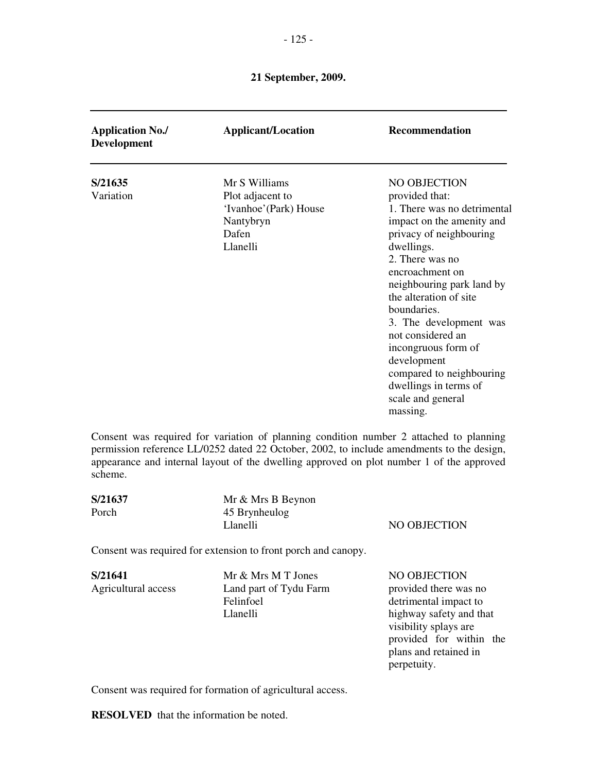| <b>Application No./</b><br><b>Development</b> | <b>Applicant/Location</b>                                                                                                                                                                                                                                                       | <b>Recommendation</b>                                                                                                                                                                                                                                                                                                                                                                                                      |
|-----------------------------------------------|---------------------------------------------------------------------------------------------------------------------------------------------------------------------------------------------------------------------------------------------------------------------------------|----------------------------------------------------------------------------------------------------------------------------------------------------------------------------------------------------------------------------------------------------------------------------------------------------------------------------------------------------------------------------------------------------------------------------|
| S/21635<br>Variation                          | Mr S Williams<br>Plot adjacent to<br>'Ivanhoe'(Park) House<br>Nantybryn<br>Dafen<br>Llanelli                                                                                                                                                                                    | NO OBJECTION<br>provided that:<br>1. There was no detrimental<br>impact on the amenity and<br>privacy of neighbouring<br>dwellings.<br>2. There was no<br>encroachment on<br>neighbouring park land by<br>the alteration of site<br>boundaries.<br>3. The development was<br>not considered an<br>incongruous form of<br>development<br>compared to neighbouring<br>dwellings in terms of<br>scale and general<br>massing. |
| scheme.                                       | Consent was required for variation of planning condition number 2 attached to planning<br>permission reference LL/0252 dated 22 October, 2002, to include amendments to the design,<br>appearance and internal layout of the dwelling approved on plot number 1 of the approved |                                                                                                                                                                                                                                                                                                                                                                                                                            |

| S/21637 | $Mr &$ Mrs B Beynon |              |
|---------|---------------------|--------------|
| Porch   | 45 Brynheulog       |              |
|         | Llanelli            | NO OBJECTION |

Consent was required for extension to front porch and canopy.

**S/21641** Mr & Mrs M T Jones NO OBJECTION<br>Agricultural access Land part of Tydu Farm provided there was

Land part of Tydu Farm provided there was no<br>Felinfoel detrimental impact to Felinfoel detrimental impact to<br>
Llanelli highway safety and the

highway safety and that visibility splays are provided for within the plans and retained in perpetuity.

Consent was required for formation of agricultural access.

**RESOLVED** that the information be noted.